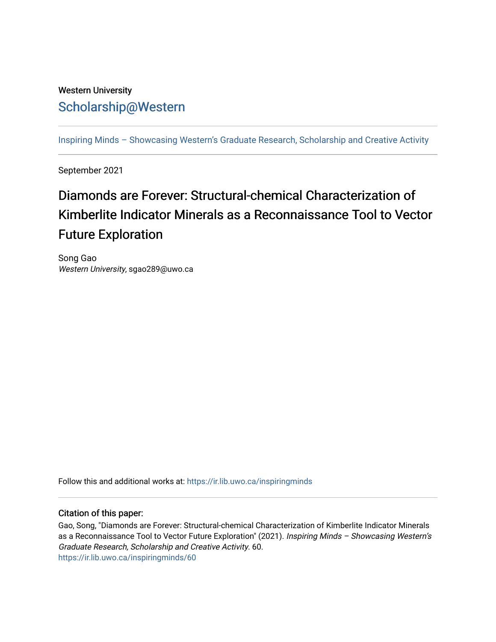## Western University [Scholarship@Western](https://ir.lib.uwo.ca/)

[Inspiring Minds – Showcasing Western's Graduate Research, Scholarship and Creative Activity](https://ir.lib.uwo.ca/inspiringminds) 

September 2021

## Diamonds are Forever: Structural-chemical Characterization of Kimberlite Indicator Minerals as a Reconnaissance Tool to Vector Future Exploration

Song Gao Western University, sgao289@uwo.ca

Follow this and additional works at: [https://ir.lib.uwo.ca/inspiringminds](https://ir.lib.uwo.ca/inspiringminds?utm_source=ir.lib.uwo.ca%2Finspiringminds%2F60&utm_medium=PDF&utm_campaign=PDFCoverPages) 

## Citation of this paper:

Gao, Song, "Diamonds are Forever: Structural-chemical Characterization of Kimberlite Indicator Minerals as a Reconnaissance Tool to Vector Future Exploration" (2021). Inspiring Minds – Showcasing Western's Graduate Research, Scholarship and Creative Activity. 60. [https://ir.lib.uwo.ca/inspiringminds/60](https://ir.lib.uwo.ca/inspiringminds/60?utm_source=ir.lib.uwo.ca%2Finspiringminds%2F60&utm_medium=PDF&utm_campaign=PDFCoverPages)